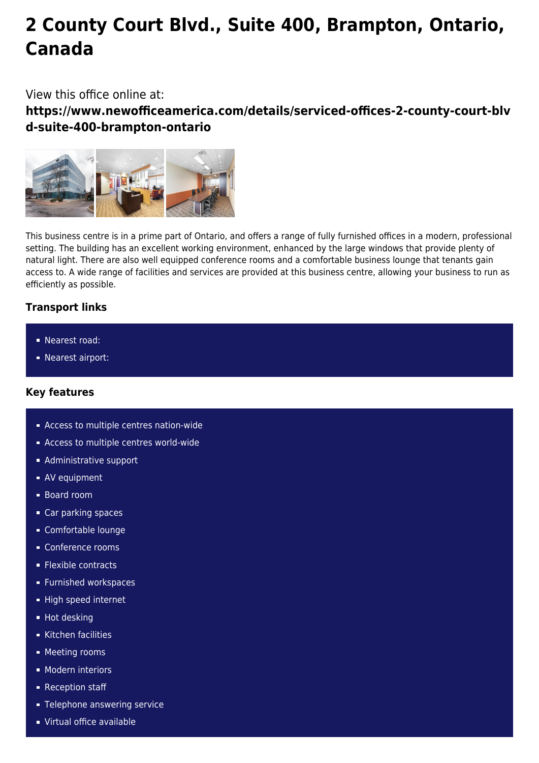# **2 County Court Blvd., Suite 400, Brampton, Ontario, Canada**

## View this office online at:

**https://www.newofficeamerica.com/details/serviced-offices-2-county-court-blv d-suite-400-brampton-ontario**



This business centre is in a prime part of Ontario, and offers a range of fully furnished offices in a modern, professional setting. The building has an excellent working environment, enhanced by the large windows that provide plenty of natural light. There are also well equipped conference rooms and a comfortable business lounge that tenants gain access to. A wide range of facilities and services are provided at this business centre, allowing your business to run as efficiently as possible.

## **Transport links**

- Nearest road:
- **Nearest airport:**

## **Key features**

- Access to multiple centres nation-wide
- **Access to multiple centres world-wide**
- **Administrative support**
- AV equipment
- Board room
- Car parking spaces
- Comfortable lounge
- Conference rooms
- **Flexible contracts**
- **Furnished workspaces**
- High speed internet
- **Hot desking**
- Kitchen facilities
- **Meeting rooms**
- **Modern interiors**
- **Reception staff**
- **Telephone answering service**
- Virtual office available